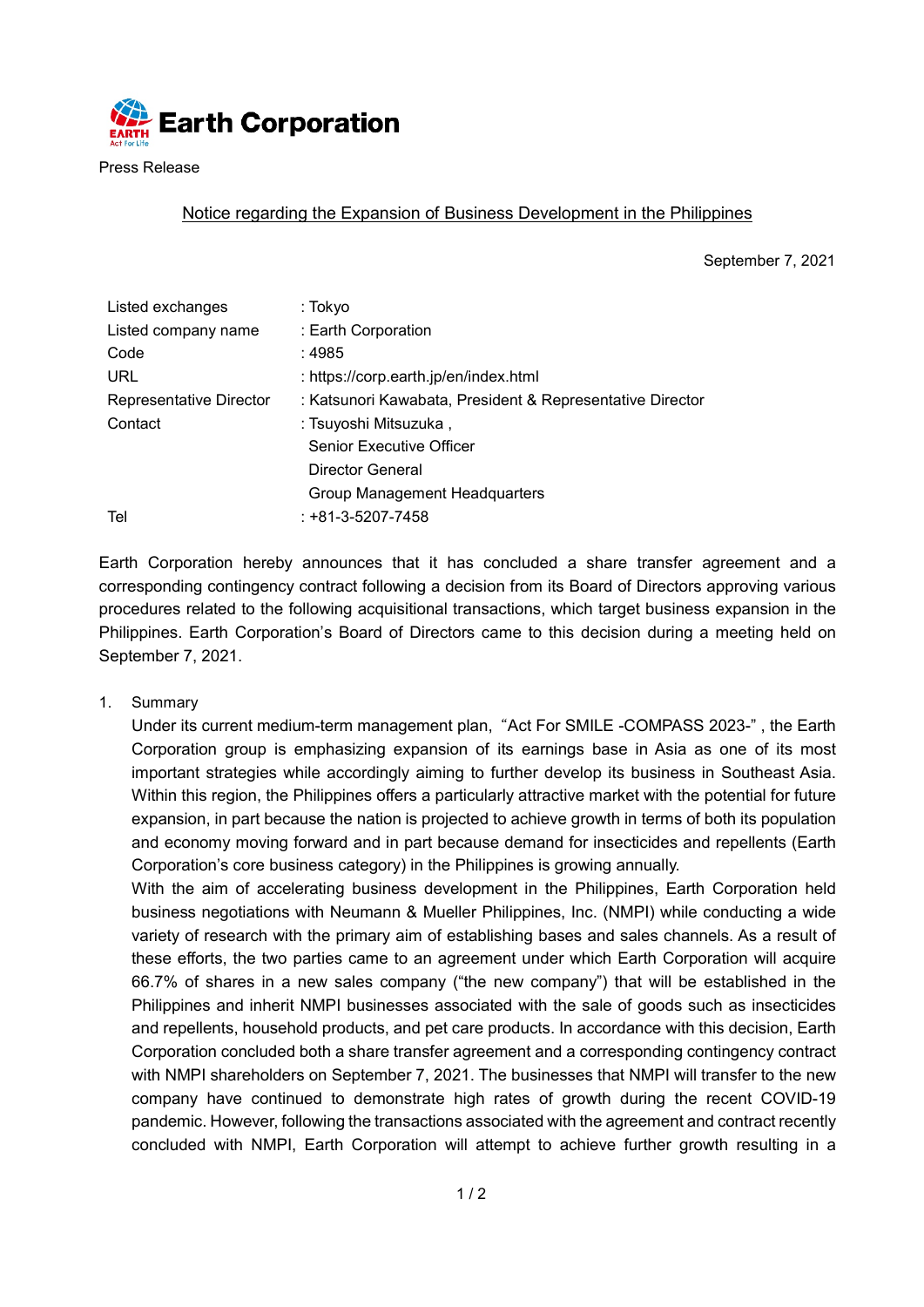

Press Release

## Notice regarding the Expansion of Business Development in the Philippines

September 7, 2021

| Listed exchanges        | : Tokyo                                                   |  |  |
|-------------------------|-----------------------------------------------------------|--|--|
| Listed company name     | : Earth Corporation                                       |  |  |
| Code                    | :4985                                                     |  |  |
| <b>URL</b>              | : https://corp.earth.jp/en/index.html                     |  |  |
| Representative Director | : Katsunori Kawabata, President & Representative Director |  |  |
| Contact                 | : Tsuyoshi Mitsuzuka,                                     |  |  |
|                         | <b>Senior Executive Officer</b>                           |  |  |
|                         | Director General                                          |  |  |
|                         | Group Management Headquarters                             |  |  |
| Tel                     | $: +81 - 3 - 5207 - 7458$                                 |  |  |

Earth Corporation hereby announces that it has concluded a share transfer agreement and a corresponding contingency contract following a decision from its Board of Directors approving various procedures related to the following acquisitional transactions, which target business expansion in the Philippines. Earth Corporation's Board of Directors came to this decision during a meeting held on September 7, 2021.

1. Summary

Under its current medium-term management plan, "Act For SMILE -COMPASS 2023-" , the Earth Corporation group is emphasizing expansion of its earnings base in Asia as one of its most important strategies while accordingly aiming to further develop its business in Southeast Asia. Within this region, the Philippines offers a particularly attractive market with the potential for future expansion, in part because the nation is projected to achieve growth in terms of both its population and economy moving forward and in part because demand for insecticides and repellents (Earth Corporation's core business category) in the Philippines is growing annually.

With the aim of accelerating business development in the Philippines, Earth Corporation held business negotiations with Neumann & Mueller Philippines, Inc. (NMPI) while conducting a wide variety of research with the primary aim of establishing bases and sales channels. As a result of these efforts, the two parties came to an agreement under which Earth Corporation will acquire 66.7% of shares in a new sales company ("the new company") that will be established in the Philippines and inherit NMPI businesses associated with the sale of goods such as insecticides and repellents, household products, and pet care products. In accordance with this decision, Earth Corporation concluded both a share transfer agreement and a corresponding contingency contract with NMPI shareholders on September 7, 2021. The businesses that NMPI will transfer to the new company have continued to demonstrate high rates of growth during the recent COVID-19 pandemic. However, following the transactions associated with the agreement and contract recently concluded with NMPI, Earth Corporation will attempt to achieve further growth resulting in a